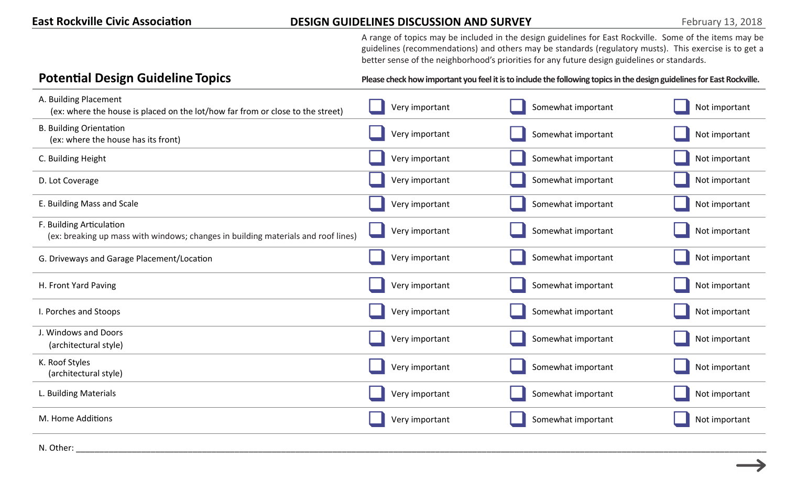## **East Rockville Civic Association DESIGN GUIDELINES DISCUSSION AND SURVEY** February 13, 2018

A range of topics may be included in the design guidelines for East Rockville. Some of the items may be guidelines (recommendations) and others may be standards (regulatory musts). This exercise is to get a better sense of the neighborhood's priorities for any future design guidelines or standards.

## **Potential Design Guideline Topics**

**Please check how important you feel it is to include the following topics in the design guidelines for East Rockville.**

| A. Building Placement<br>(ex: where the house is placed on the lot/how far from or close to the street)       | Very important | Somewhat important | Not important |
|---------------------------------------------------------------------------------------------------------------|----------------|--------------------|---------------|
| <b>B. Building Orientation</b><br>(ex: where the house has its front)                                         | Very important | Somewhat important | Not important |
| C. Building Height                                                                                            | Very important | Somewhat important | Not important |
| D. Lot Coverage                                                                                               | Very important | Somewhat important | Not important |
| E. Building Mass and Scale                                                                                    | Very important | Somewhat important | Not important |
| F. Building Articulation<br>(ex: breaking up mass with windows; changes in building materials and roof lines) | Very important | Somewhat important | Not important |
| G. Driveways and Garage Placement/Location                                                                    | Very important | Somewhat important | Not important |
| H. Front Yard Paving                                                                                          | Very important | Somewhat important | Not important |
| I. Porches and Stoops                                                                                         | Very important | Somewhat important | Not important |
| J. Windows and Doors<br>(architectural style)                                                                 | Very important | Somewhat important | Not important |
| K. Roof Styles<br>(architectural style)                                                                       | Very important | Somewhat important | Not important |
| L. Building Materials                                                                                         | Very important | Somewhat important | Not important |
| M. Home Additions                                                                                             | Very important | Somewhat important | Not important |